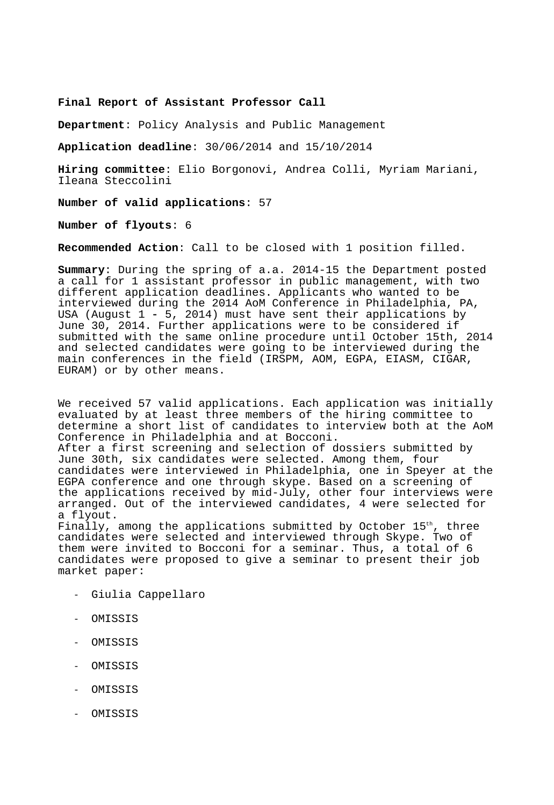**Final Report of Assistant Professor Call** 

**Department**: Policy Analysis and Public Management

**Application deadline**: 30/06/2014 and 15/10/2014

**Hiring committee**: Elio Borgonovi, Andrea Colli, Myriam Mariani, Ileana Steccolini

**Number of valid applications**: 57

**Number of flyouts**: 6

**Recommended Action**: Call to be closed with 1 position filled.

**Summary**: During the spring of a.a. 2014-15 the Department posted a call for 1 assistant professor in public management, with two different application deadlines. Applicants who wanted to be interviewed during the 2014 AoM Conference in Philadelphia, PA, USA (August 1 - 5, 2014) must have sent their applications by June 30, 2014. Further applications were to be considered if submitted with the same online procedure until October 15th, 2014 and selected candidates were going to be interviewed during the main conferences in the field (IRSPM, AOM, EGPA, EIASM, CIGAR, EURAM) or by other means.

We received 57 valid applications. Each application was initially evaluated by at least three members of the hiring committee to determine a short list of candidates to interview both at the AoM Conference in Philadelphia and at Bocconi.

After a first screening and selection of dossiers submitted by June 30th, six candidates were selected. Among them, four candidates were interviewed in Philadelphia, one in Speyer at the EGPA conference and one through skype. Based on a screening of the applications received by mid-July, other four interviews were arranged. Out of the interviewed candidates, 4 were selected for a flyout.

Finally, among the applications submitted by October  $15<sup>th</sup>$ , three candidates were selected and interviewed through Skype. Two of them were invited to Bocconi for a seminar. Thus, a total of 6 candidates were proposed to give a seminar to present their job market paper:

- Giulia Cappellaro
- OMISSIS
- OMISSIS
- OMISSIS
- OMISSIS
- OMISSIS